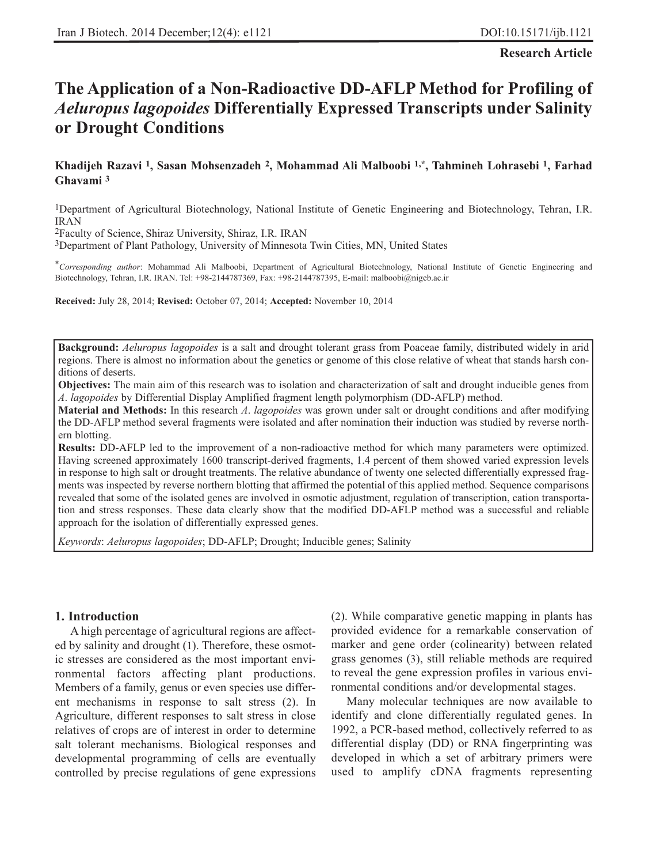**Research Article**

# **The Application of a Non-Radioactive DD-AFLP Method for Profiling of** *Aeluropus lagopoides* **Differentially Expressed Transcripts under Salinity or Drought Conditions**

# **Khadijeh Razavi 1, Sasan Mohsenzadeh 2, Mohammad Ali Malboobi 1,\*, Tahmineh Lohrasebi 1, Farhad Ghavami 3**

1Department of Agricultural Biotechnology, National Institute of Genetic Engineering and Biotechnology, Tehran, I.R. IRAN

2Faculty of Science, Shiraz University, Shiraz, I.R. IRAN

3Department of Plant Pathology, University of Minnesota Twin Cities, MN, United States

\**Corresponding author*: Mohammad Ali Malboobi, Department of Agricultural Biotechnology, National Institute of Genetic Engineering and Biotechnology, Tehran, I.R. IRAN. Tel: +98-2144787369, Fax: +98-2144787395, E-mail: malboobi@nigeb.ac.ir

**Received:** July 28, 2014; **Revised:** October 07, 2014; **Accepted:** November 10, 2014

**Background:** *Aeluropus lagopoides* is a salt and drought tolerant grass from Poaceae family, distributed widely in arid regions. There is almost no information about the genetics or genome of this close relative of wheat that stands harsh conditions of deserts.

**Objectives:** The main aim of this research was to isolation and characterization of salt and drought inducible genes from *A*. *lagopoides* by Differential Display Amplified fragment length polymorphism (DD-AFLP) method.

**Material and Methods:** In this research *A*. *lagopoides* was grown under salt or drought conditions and after modifying the DD-AFLP method several fragments were isolated and after nomination their induction was studied by reverse northern blotting.

**Results:** DD-AFLP led to the improvement of a non-radioactive method for which many parameters were optimized. Having screened approximately 1600 transcript-derived fragments, 1.4 percent of them showed varied expression levels in response to high salt or drought treatments. The relative abundance of twenty one selected differentially expressed fragments was inspected by reverse northern blotting that affirmed the potential of this applied method. Sequence comparisons revealed that some of the isolated genes are involved in osmotic adjustment, regulation of transcription, cation transportation and stress responses. These data clearly show that the modified DD-AFLP method was a successful and reliable approach for the isolation of differentially expressed genes.

*Keywords*: *Aeluropus lagopoides*; DD-AFLP; Drought; Inducible genes; Salinity

## **1. Introduction**

A high percentage of agricultural regions are affected by salinity and drought (1). Therefore, these osmotic stresses are considered as the most important environmental factors affecting plant productions. Members of a family, genus or even species use different mechanisms in response to salt stress (2). In Agriculture, different responses to salt stress in close relatives of crops are of interest in order to determine salt tolerant mechanisms. Biological responses and developmental programming of cells are eventually controlled by precise regulations of gene expressions (2). While comparative genetic mapping in plants has provided evidence for a remarkable conservation of marker and gene order (colinearity) between related grass genomes (3), still reliable methods are required to reveal the gene expression profiles in various environmental conditions and/or developmental stages.

Many molecular techniques are now available to identify and clone differentially regulated genes. In 1992, a PCR-based method, collectively referred to as differential display (DD) or RNA fingerprinting was developed in which a set of arbitrary primers were used to amplify cDNA fragments representing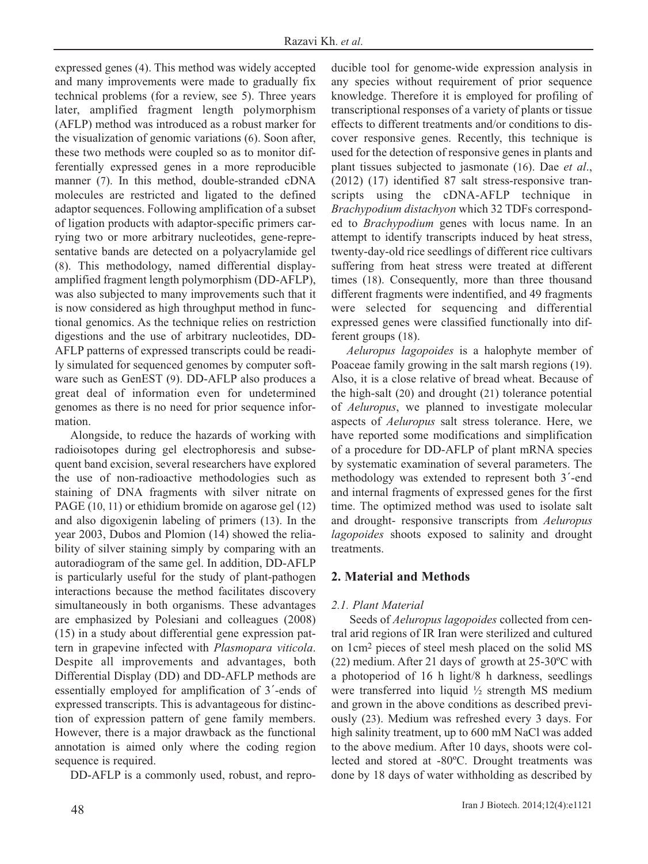expressed genes (4). This method was widely accepted and many improvements were made to gradually fix technical problems (for a review, see 5). Three years later, amplified fragment length polymorphism (AFLP) method was introduced as a robust marker for the visualization of genomic variations (6). Soon after, these two methods were coupled so as to monitor differentially expressed genes in a more reproducible manner (7). In this method, double-stranded cDNA molecules are restricted and ligated to the defined adaptor sequences. Following amplification of a subset of ligation products with adaptor-specific primers carrying two or more arbitrary nucleotides, gene-representative bands are detected on a polyacrylamide gel (8). This methodology, named differential displayamplified fragment length polymorphism (DD-AFLP), was also subjected to many improvements such that it is now considered as high throughput method in functional genomics. As the technique relies on restriction digestions and the use of arbitrary nucleotides, DD-AFLP patterns of expressed transcripts could be readily simulated for sequenced genomes by computer software such as GenEST (9). DD-AFLP also produces a great deal of information even for undetermined genomes as there is no need for prior sequence information.

Alongside, to reduce the hazards of working with radioisotopes during gel electrophoresis and subsequent band excision, several researchers have explored the use of non-radioactive methodologies such as staining of DNA fragments with silver nitrate on PAGE (10, 11) or ethidium bromide on agarose gel (12) and also digoxigenin labeling of primers (13). In the year 2003, Dubos and Plomion (14) showed the reliability of silver staining simply by comparing with an autoradiogram of the same gel. In addition, DD-AFLP is particularly useful for the study of plant-pathogen interactions because the method facilitates discovery simultaneously in both organisms. These advantages are emphasized by Polesiani and colleagues (2008) (15) in a study about differential gene expression pattern in grapevine infected with *Plasmopara viticola*. Despite all improvements and advantages, both Differential Display (DD) and DD-AFLP methods are essentially employed for amplification of 3´-ends of expressed transcripts. This is advantageous for distinction of expression pattern of gene family members. However, there is a major drawback as the functional annotation is aimed only where the coding region sequence is required.

DD-AFLP is a commonly used, robust, and repro-

ducible tool for genome-wide expression analysis in any species without requirement of prior sequence knowledge. Therefore it is employed for profiling of transcriptional responses of a variety of plants or tissue effects to different treatments and/or conditions to discover responsive genes. Recently, this technique is used for the detection of responsive genes in plants and plant tissues subjected to jasmonate (16). Dae *et al*., (2012) (17) identified 87 salt stress-responsive transcripts using the cDNA-AFLP technique in *Brachypodium distachyon* which 32 TDFs corresponded to *Brachypodium* genes with locus name. In an attempt to identify transcripts induced by heat stress, twenty-day-old rice seedlings of different rice cultivars suffering from heat stress were treated at different times (18). Consequently, more than three thousand different fragments were indentified, and 49 fragments were selected for sequencing and differential expressed genes were classified functionally into different groups (18).

*Aeluropus lagopoides* is a halophyte member of Poaceae family growing in the salt marsh regions (19). Also, it is a close relative of bread wheat. Because of the high-salt (20) and drought (21) tolerance potential of *Aeluropus*, we planned to investigate molecular aspects of *Aeluropus* salt stress tolerance. Here, we have reported some modifications and simplification of a procedure for DD-AFLP of plant mRNA species by systematic examination of several parameters. The methodology was extended to represent both 3´-end and internal fragments of expressed genes for the first time. The optimized method was used to isolate salt and drought- responsive transcripts from *Aeluropus lagopoides* shoots exposed to salinity and drought treatments.

# **2. Material and Methods**

# *2.1. Plant Material*

Seeds of *Aeluropus lagopoides* collected from central arid regions of IR Iran were sterilized and cultured on 1cm2 pieces of steel mesh placed on the solid MS (22) medium. After 21 days of growth at 25-30ºC with a photoperiod of 16 h light/8 h darkness, seedlings were transferred into liquid ½ strength MS medium and grown in the above conditions as described previously (23). Medium was refreshed every 3 days. For high salinity treatment, up to 600 mM NaCl was added to the above medium. After 10 days, shoots were collected and stored at -80ºC. Drought treatments was done by 18 days of water withholding as described by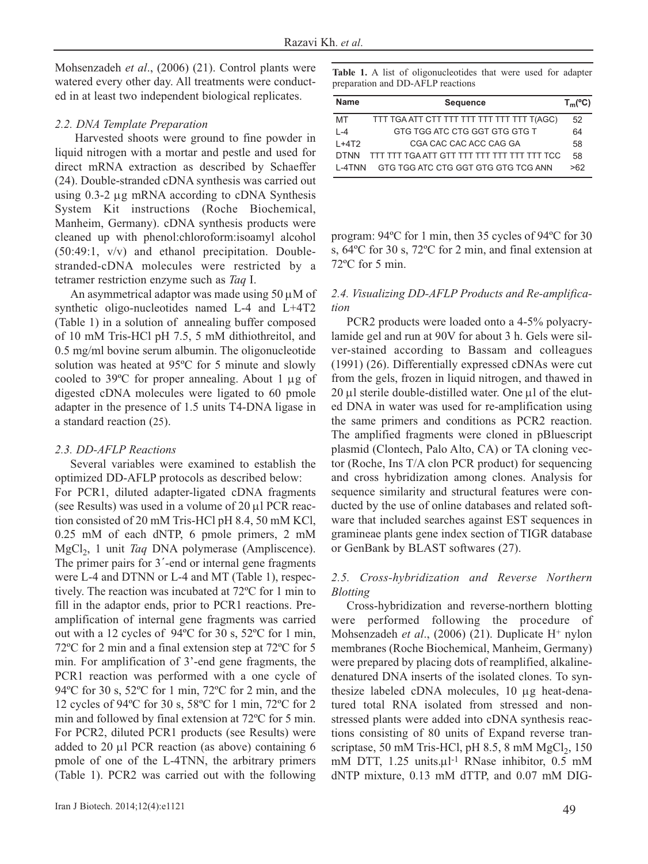Mohsenzadeh *et al*., (2006) (21). Control plants were watered every other day. All treatments were conducted in at least two independent biological replicates.

## *2.2. DNA Template Preparation*

Harvested shoots were ground to fine powder in liquid nitrogen with a mortar and pestle and used for direct mRNA extraction as described by Schaeffer (24). Double-stranded cDNA synthesis was carried out using 0.3-2 μg mRNA according to cDNA Synthesis System Kit instructions (Roche Biochemical, Manheim, Germany). cDNA synthesis products were cleaned up with phenol:chloroform:isoamyl alcohol (50:49:1, v/v) and ethanol precipitation. Doublestranded-cDNA molecules were restricted by a tetramer restriction enzyme such as *Taq* Ι.

An asymmetrical adaptor was made using 50 μM of synthetic oligo-nucleotides named L-4 and L+4T2 (Table 1) in a solution of annealing buffer composed of 10 mM Tris-HCl pH 7.5, 5 mM dithiothreitol, and 0.5 mg/ml bovine serum albumin. The oligonucleotide solution was heated at 95ºC for 5 minute and slowly cooled to 39ºC for proper annealing. About 1 μg of digested cDNA molecules were ligated to 60 pmole adapter in the presence of 1.5 units T4-DNA ligase in a standard reaction (25).

# *2.3. DD-AFLP Reactions*

Several variables were examined to establish the optimized DD-AFLP protocols as described below: For PCR1, diluted adapter-ligated cDNA fragments (see Results) was used in a volume of 20 μl PCR reaction consisted of 20 mM Tris-HCl pH 8.4, 50 mM KCl, 0.25 mM of each dNTP, 6 pmole primers, 2 mM MgCl<sub>2</sub>, 1 unit *Taq* DNA polymerase (Ampliscence). The primer pairs for 3<sup>'</sup>-end or internal gene fragments were L-4 and DTNN or L-4 and MT (Table 1), respectively. The reaction was incubated at 72ºC for 1 min to fill in the adaptor ends, prior to PCR1 reactions. Preamplification of internal gene fragments was carried out with a 12 cycles of 94ºC for 30 s, 52ºC for 1 min, 72ºC for 2 min and a final extension step at 72ºC for 5 min. For amplification of 3'-end gene fragments, the PCR1 reaction was performed with a one cycle of 94ºC for 30 s, 52ºC for 1 min, 72ºC for 2 min, and the 12 cycles of 94ºC for 30 s, 58ºC for 1 min, 72ºC for 2 min and followed by final extension at 72ºC for 5 min. For PCR2, diluted PCR1 products (see Results) were added to 20 μl PCR reaction (as above) containing 6 pmole of one of the L-4TNN, the arbitrary primers (Table 1). PCR2 was carried out with the following **Table 1.** A list of oligonucleotides that were used for adapter preparation and DD-AFLP reactions

| Name        | <b>Sequence</b>                            | $T_m$ (°C) |
|-------------|--------------------------------------------|------------|
| MT          | TTT TGA ATT CTT TTT TTT TTT TTT TTT T(AGC) | 52         |
| $1 - 4$     | GTG TGG ATC CTG GGT GTG GTG T              | 64         |
| $1+4T2$     | CGA CAC CAC ACC CAG GA                     | 58         |
| <b>DTNN</b> |                                            | 58         |
| L-4TNN      | GTG TGG ATC CTG GGT GTG GTG TCG ANN        | >62        |

program: 94ºC for 1 min, then 35 cycles of 94ºC for 30 s, 64ºC for 30 s, 72ºC for 2 min, and final extension at 72ºC for 5 min.

# *2.4. Visualizing DD-AFLP Products and Re-amplification*

PCR2 products were loaded onto a 4-5% polyacrylamide gel and run at 90V for about 3 h. Gels were silver-stained according to Bassam and colleagues (1991) (26). Differentially expressed cDNAs were cut from the gels, frozen in liquid nitrogen, and thawed in 20 μl sterile double-distilled water. One μl of the eluted DNA in water was used for re-amplification using the same primers and conditions as PCR2 reaction. The amplified fragments were cloned in pBluescript plasmid (Clontech, Palo Alto, CA) or TA cloning vector (Roche, Ins T/A clon PCR product) for sequencing and cross hybridization among clones. Analysis for sequence similarity and structural features were conducted by the use of online databases and related software that included searches against EST sequences in gramineae plants gene index section of TIGR database or GenBank by BLAST softwares (27).

# *2.5. Cross-hybridization and Reverse Northern Blotting*

Cross-hybridization and reverse-northern blotting were performed following the procedure of Mohsenzadeh *et al*., (2006) (21). Duplicate H+ nylon membranes (Roche Biochemical, Manheim, Germany) were prepared by placing dots of reamplified, alkalinedenatured DNA inserts of the isolated clones. To synthesize labeled cDNA molecules, 10 μg heat-denatured total RNA isolated from stressed and nonstressed plants were added into cDNA synthesis reactions consisting of 80 units of Expand reverse transcriptase, 50 mM Tris-HCl, pH  $8.5$ ,  $8 \text{ mM } MgCl<sub>2</sub>$ , 150 mM DTT, 1.25 units.μl<sup>-1</sup> RNase inhibitor, 0.5 mM dNTP mixture, 0.13 mM dTTP, and 0.07 mM DIG-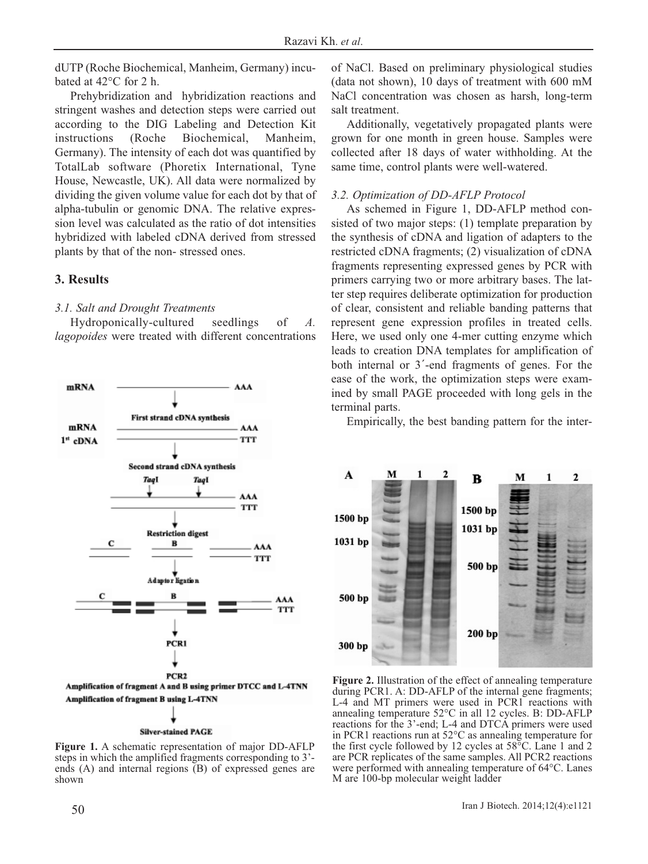dUTP (Roche Biochemical, Manheim, Germany) incubated at 42°C for 2 h.

Prehybridization and hybridization reactions and stringent washes and detection steps were carried out according to the DIG Labeling and Detection Kit instructions (Roche Biochemical, Manheim, Germany). The intensity of each dot was quantified by TotalLab software (Phoretix International, Tyne House, Newcastle, UK). All data were normalized by dividing the given volume value for each dot by that of alpha-tubulin or genomic DNA. The relative expression level was calculated as the ratio of dot intensities hybridized with labeled cDNA derived from stressed plants by that of the non- stressed ones.

## **3. Results**

## *3.1. Salt and Drought Treatments*

Hydroponically-cultured seedlings of *A. lagopoides* were treated with different concentrations



**Figure 1.** A schematic representation of major DD-AFLP steps in which the amplified fragments corresponding to 3' ends (A) and internal regions (B) of expressed genes are shown

of NaCl. Based on preliminary physiological studies (data not shown), 10 days of treatment with 600 mM NaCl concentration was chosen as harsh, long-term salt treatment.

Additionally, vegetatively propagated plants were grown for one month in green house. Samples were collected after 18 days of water withholding. At the same time, control plants were well-watered.

## *3.2. Optimization of DD-AFLP Protocol*

As schemed in Figure 1, DD-AFLP method consisted of two major steps: (1) template preparation by the synthesis of cDNA and ligation of adapters to the restricted cDNA fragments; (2) visualization of cDNA fragments representing expressed genes by PCR with primers carrying two or more arbitrary bases. The latter step requires deliberate optimization for production of clear, consistent and reliable banding patterns that represent gene expression profiles in treated cells. Here, we used only one 4-mer cutting enzyme which leads to creation DNA templates for amplification of both internal or 3´-end fragments of genes. For the ease of the work, the optimization steps were examined by small PAGE proceeded with long gels in the terminal parts.

Empirically, the best banding pattern for the inter-



**Figure 2.** Illustration of the effect of annealing temperature during PCR1. A: DD-AFLP of the internal gene fragments; L-4 and MT primers were used in PCR1 reactions with annealing temperature 52°C in all 12 cycles. B: DD-AFLP reactions for the 3'-end; L-4 and DTCA primers were used in PCR1 reactions run at 52°C as annealing temperature for the first cycle followed by 12 cycles at 58°C. Lane 1 and 2 are PCR replicates of the same samples. All PCR2 reactions were performed with annealing temperature of 64°C. Lanes M are 100-bp molecular weight ladder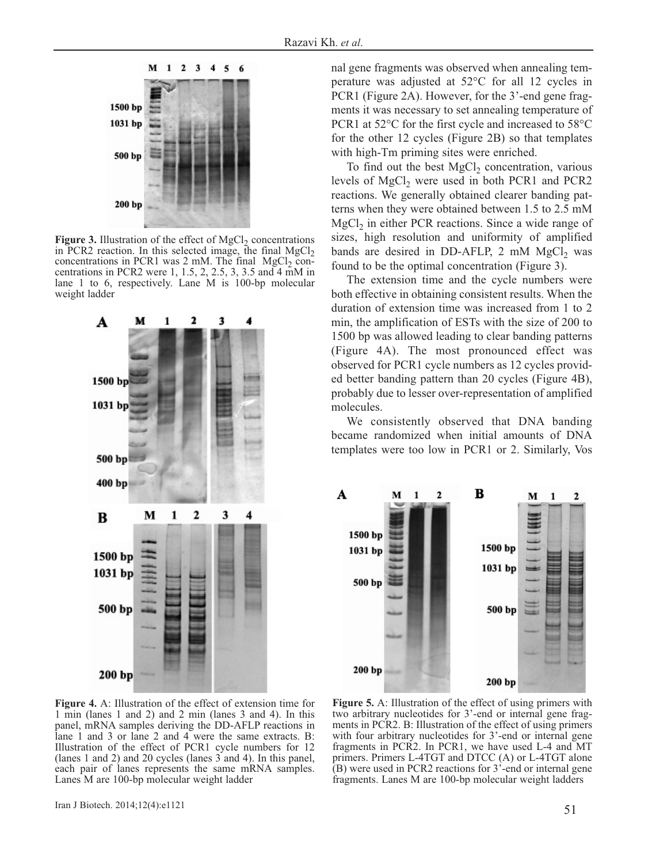

Figure 3. Illustration of the effect of MgCl<sub>2</sub> concentrations in PCR2 reaction. In this selected image, the final  $MgCl<sub>2</sub>$ concentrations in PCR1 was  $2 \text{ mM}$ . The final MgCl<sub>2</sub> concentrations in PCR2 were 1, 1.5, 2, 2.5, 3, 3.5 and 4 mM in lane 1 to 6, respectively. Lane M is 100-bp molecular weight ladder



nal gene fragments was observed when annealing temperature was adjusted at 52°C for all 12 cycles in PCR1 (Figure 2A). However, for the 3'-end gene fragments it was necessary to set annealing temperature of PCR1 at 52°C for the first cycle and increased to 58°C for the other 12 cycles (Figure 2B) so that templates with high-Tm priming sites were enriched.

To find out the best  $MgCl<sub>2</sub>$  concentration, various levels of  $MgCl<sub>2</sub>$  were used in both PCR1 and PCR2 reactions. We generally obtained clearer banding patterns when they were obtained between 1.5 to 2.5 mM  $MgCl<sub>2</sub>$  in either PCR reactions. Since a wide range of sizes, high resolution and uniformity of amplified bands are desired in DD-AFLP, 2 mM MgCl<sub>2</sub> was found to be the optimal concentration (Figure 3).

The extension time and the cycle numbers were both effective in obtaining consistent results. When the duration of extension time was increased from 1 to 2 min, the amplification of ESTs with the size of 200 to 1500 bp was allowed leading to clear banding patterns (Figure 4A). The most pronounced effect was observed for PCR1 cycle numbers as 12 cycles provided better banding pattern than 20 cycles (Figure 4B), probably due to lesser over-representation of amplified molecules.

We consistently observed that DNA banding became randomized when initial amounts of DNA templates were too low in PCR1 or 2. Similarly, Vos



**Figure 4.** A: Illustration of the effect of extension time for 1 min (lanes 1 and 2) and 2 min (lanes 3 and 4). In this panel, mRNA samples deriving the DD-AFLP reactions in lane 1 and 3 or lane 2 and 4 were the same extracts. B: Illustration of the effect of PCR1 cycle numbers for 12 (lanes 1 and 2) and 20 cycles (lanes 3 and 4). In this panel, each pair of lanes represents the same mRNA samples. Lanes M are 100-bp molecular weight ladder

**Figure 5.** A: Illustration of the effect of using primers with two arbitrary nucleotides for 3'-end or internal gene fragments in PCR2. B: Illustration of the effect of using primers with four arbitrary nucleotides for 3'-end or internal gene fragments in PCR2. In PCR1, we have used L-4 and MT primers. Primers L-4TGT and DTCC (A) or L-4TGT alone (B) were used in PCR2 reactions for 3'-end or internal gene fragments. Lanes M are 100-bp molecular weight ladders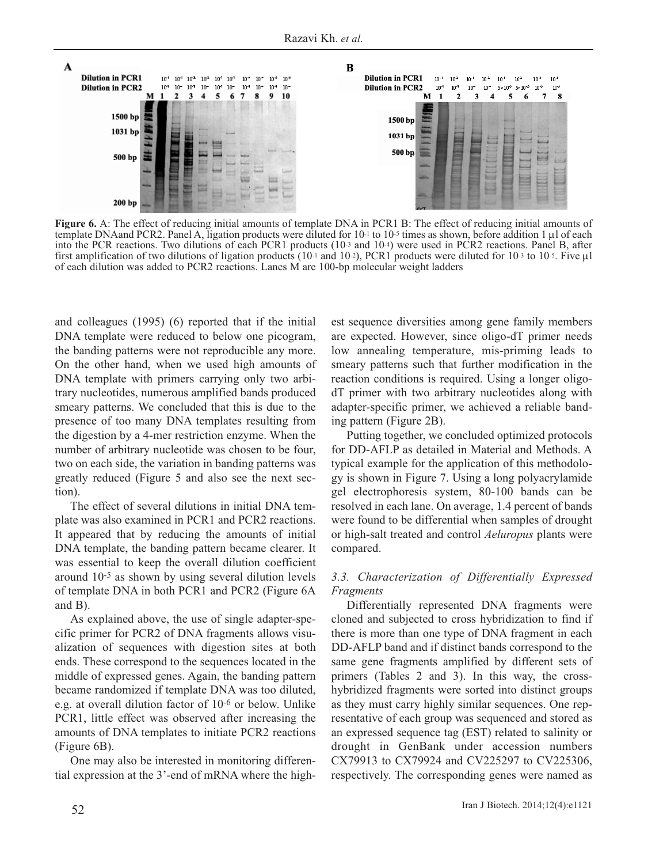

**Figure 6.** A: The effect of reducing initial amounts of template DNA in PCR1 B: The effect of reducing initial amounts of template DNAand PCR2. Panel A, ligation products were diluted for 10-1 to 10-5 times as shown, before addition 1 μl of each into the PCR reactions. Two dilutions of each PCR1 products (10-3 and 10-4) were used in PCR2 reactions. Panel B, after first amplification of two dilutions of ligation products (10-1 and 10-2), PCR1 products were diluted for 10-3 to 10-5. Five  $\mu$ 1 of each dilution was added to PCR2 reactions. Lanes M are 100-bp molecular weight ladders

and colleagues (1995) (6) reported that if the initial DNA template were reduced to below one picogram, the banding patterns were not reproducible any more. On the other hand, when we used high amounts of DNA template with primers carrying only two arbitrary nucleotides, numerous amplified bands produced smeary patterns. We concluded that this is due to the presence of too many DNA templates resulting from the digestion by a 4-mer restriction enzyme. When the number of arbitrary nucleotide was chosen to be four, two on each side, the variation in banding patterns was greatly reduced (Figure 5 and also see the next section).

The effect of several dilutions in initial DNA template was also examined in PCR1 and PCR2 reactions. It appeared that by reducing the amounts of initial DNA template, the banding pattern became clearer. It was essential to keep the overall dilution coefficient around 10-5 as shown by using several dilution levels of template DNA in both PCR1 and PCR2 (Figure 6A and B).

As explained above, the use of single adapter-specific primer for PCR2 of DNA fragments allows visualization of sequences with digestion sites at both ends. These correspond to the sequences located in the middle of expressed genes. Again, the banding pattern became randomized if template DNA was too diluted, e.g. at overall dilution factor of 10-6 or below. Unlike PCR1, little effect was observed after increasing the amounts of DNA templates to initiate PCR2 reactions (Figure 6B).

One may also be interested in monitoring differential expression at the 3'-end of mRNA where the highest sequence diversities among gene family members are expected. However, since oligo-dT primer needs low annealing temperature, mis-priming leads to smeary patterns such that further modification in the reaction conditions is required. Using a longer oligodT primer with two arbitrary nucleotides along with adapter-specific primer, we achieved a reliable banding pattern (Figure 2B).

Putting together, we concluded optimized protocols for DD-AFLP as detailed in Material and Methods. A typical example for the application of this methodology is shown in Figure 7. Using a long polyacrylamide gel electrophoresis system, 80-100 bands can be resolved in each lane. On average, 1.4 percent of bands were found to be differential when samples of drought or high-salt treated and control *Aeluropus* plants were compared.

# *3.3. Characterization of Differentially Expressed Fragments*

Differentially represented DNA fragments were cloned and subjected to cross hybridization to find if there is more than one type of DNA fragment in each DD-AFLP band and if distinct bands correspond to the same gene fragments amplified by different sets of primers (Tables 2 and 3). In this way, the crosshybridized fragments were sorted into distinct groups as they must carry highly similar sequences. One representative of each group was sequenced and stored as an expressed sequence tag (EST) related to salinity or drought in GenBank under accession numbers CX79913 to CX79924 and CV225297 to CV225306, respectively. The corresponding genes were named as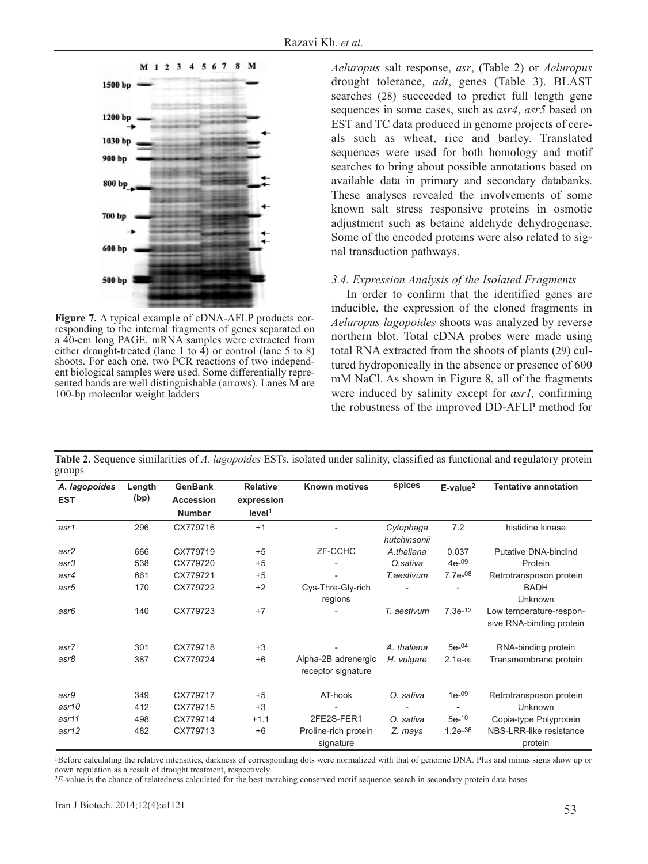

**Figure 7.** A typical example of cDNA-AFLP products corresponding to the internal fragments of genes separated on a 40-cm long PAGE. mRNA samples were extracted from either drought-treated (lane 1 to 4) or control (lane 5 to 8) shoots. For each one, two PCR reactions of two independent biological samples were used. Some differentially represented bands are well distinguishable (arrows). Lanes M are 100-bp molecular weight ladders

*Aeluropus* salt response, *asr*, (Table 2) or *Aeluropus* drought tolerance, *adt*, genes (Table 3). BLAST searches (28) succeeded to predict full length gene sequences in some cases, such as *asr4*, *asr5* based on EST and TC data produced in genome projects of cereals such as wheat, rice and barley. Translated sequences were used for both homology and motif searches to bring about possible annotations based on available data in primary and secondary databanks. These analyses revealed the involvements of some known salt stress responsive proteins in osmotic adjustment such as betaine aldehyde dehydrogenase. Some of the encoded proteins were also related to signal transduction pathways.

#### *3.4. Expression Analysis of the Isolated Fragments*

In order to confirm that the identified genes are inducible, the expression of the cloned fragments in *Aeluropus lagopoides* shoots was analyzed by reverse northern blot. Total cDNA probes were made using total RNA extracted from the shoots of plants (29) cultured hydroponically in the absence or presence of 600 mM NaCl. As shown in Figure 8, all of the fragments were induced by salinity except for *asr1,* confirming the robustness of the improved DD-AFLP method for

| A. lagopoides | Length | <b>GenBank</b>   | <b>Relative</b>    | Known motives            | spices       | E-value <sup>2</sup> | <b>Tentative annotation</b> |
|---------------|--------|------------------|--------------------|--------------------------|--------------|----------------------|-----------------------------|
| <b>EST</b>    | (bp)   | <b>Accession</b> | expression         |                          |              |                      |                             |
|               |        | <b>Number</b>    | level <sup>1</sup> |                          |              |                      |                             |
| asr1          | 296    | CX779716         | $+1$               | $\overline{\phantom{a}}$ | Cytophaga    | 7.2                  | histidine kinase            |
|               |        |                  |                    |                          | hutchinsonii |                      |                             |
| asr2          | 666    | CX779719         | $+5$               | ZF-CCHC                  | A.thaliana   | 0.037                | <b>Putative DNA-bindind</b> |
| asr3          | 538    | CX779720         | $+5$               |                          | O.sativa     | $4e^{-09}$           | Protein                     |
| asr4          | 661    | CX779721         | $+5$               |                          | T.aestivum   | $7.7e^{-08}$         | Retrotransposon protein     |
| asr5          | 170    | CX779722         | $+2$               | Cys-Thre-Gly-rich        |              |                      | <b>BADH</b>                 |
|               |        |                  |                    | regions                  |              |                      | Unknown                     |
| asr6          | 140    | CX779723         | $+7$               |                          | T. aestivum  | $7.3e^{-12}$         | Low temperature-respon-     |
|               |        |                  |                    |                          |              |                      | sive RNA-binding protein    |
| asr7          | 301    | CX779718         | $+3$               |                          | A. thaliana  | $5e^{-04}$           | RNA-binding protein         |
| asr8          | 387    | CX779724         | $+6$               | Alpha-2B adrenergic      | H. vulgare   | $2.1e-05$            | Transmembrane protein       |
|               |        |                  |                    | receptor signature       |              |                      |                             |
| asr9          | 349    | CX779717         | $+5$               | AT-hook                  | O. sativa    | $1e^{-09}$           | Retrotransposon protein     |
| asr10         | 412    | CX779715         | $+3$               |                          |              |                      | <b>Unknown</b>              |
| asr11         | 498    | CX779714         | $+1.1$             | 2FE2S-FER1               | sativa<br>Ο. | $5e-10$              | Copia-type Polyprotein      |
| asr12         | 482    | CX779713         | $+6$               | Proline-rich protein     | Z. mays      | $1.2e^{-36}$         | NBS-LRR-like resistance     |
|               |        |                  |                    | signature                |              |                      | protein                     |

**Table 2.** Sequence similarities of *A*. *lagopoides* ESTs, isolated under salinity, classified as functional and regulatory protein groups

<sup>1</sup>Before calculating the relative intensities, darkness of corresponding dots were normalized with that of genomic DNA. Plus and minus signs show up or down regulation as a result of drought treatment, respectively

2*E*-value is the chance of relatedness calculated for the best matching conserved motif sequence search in secondary protein data bases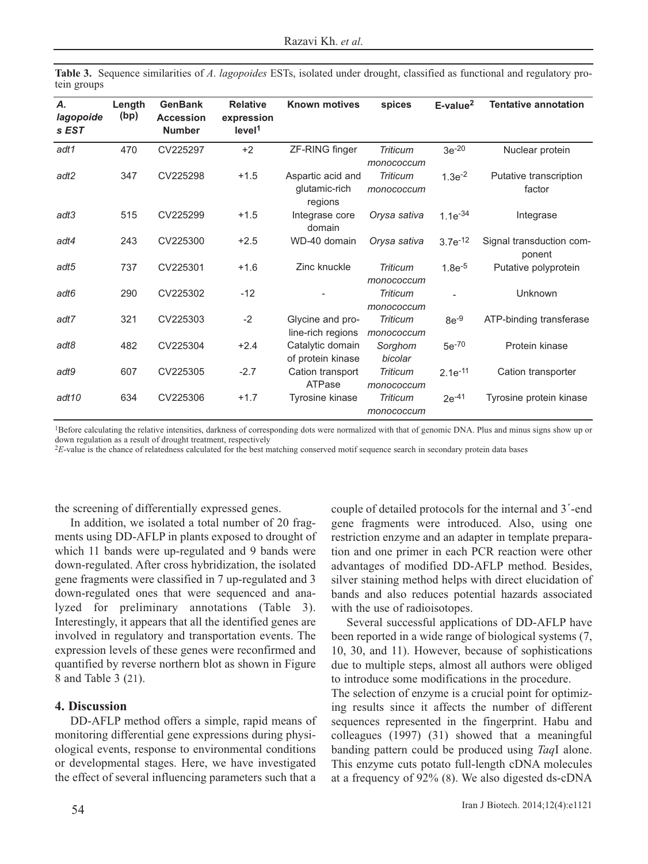|             | Table 3. Sequence similarities of A. lagopoides ESTs, isolated under drought, classified as functional and regulatory pro- |  |  |  |  |  |  |
|-------------|----------------------------------------------------------------------------------------------------------------------------|--|--|--|--|--|--|
| tein groups |                                                                                                                            |  |  |  |  |  |  |

| Α.<br>lagopoide<br>s EST | Length<br>(bp) | <b>GenBank</b><br><b>Accession</b><br><b>Number</b> | <b>Relative</b><br>expression<br>level <sup>1</sup> | <b>Known motives</b>                          | spices                        | E-value <sup>2</sup> | <b>Tentative annotation</b>        |
|--------------------------|----------------|-----------------------------------------------------|-----------------------------------------------------|-----------------------------------------------|-------------------------------|----------------------|------------------------------------|
| adt1                     | 470            | CV225297                                            | $+2$                                                | ZF-RING finger                                | <b>Triticum</b><br>monococcum | $3e^{-20}$           | Nuclear protein                    |
| adt2                     | 347            | CV225298                                            | $+1.5$                                              | Aspartic acid and<br>glutamic-rich<br>regions | <b>Triticum</b><br>monococcum | $1.3e^{-2}$          | Putative transcription<br>factor   |
| adt3                     | 515            | CV225299                                            | $+1.5$                                              | Integrase core<br>domain                      | Orysa sativa                  | $1.1e^{-34}$         | Integrase                          |
| adt4                     | 243            | CV225300                                            | $+2.5$                                              | WD-40 domain                                  | Orysa sativa                  | $3.7e^{-12}$         | Signal transduction com-<br>ponent |
| adt5                     | 737            | CV225301                                            | $+1.6$                                              | Zinc knuckle                                  | <b>Triticum</b><br>monococcum | $1.8e^{-5}$          | Putative polyprotein               |
| adt6                     | 290            | CV225302                                            | $-12$                                               |                                               | <b>Triticum</b><br>monococcum |                      | Unknown                            |
| adt7                     | 321            | CV225303                                            | $-2$                                                | Glycine and pro-<br>line-rich regions         | <b>Triticum</b><br>monococcum | $8e^{-9}$            | ATP-binding transferase            |
| adt8                     | 482            | CV225304                                            | $+2.4$                                              | Catalytic domain<br>of protein kinase         | Sorghom<br>bicolar            | $5e^{-70}$           | Protein kinase                     |
| adt9                     | 607            | CV225305                                            | $-2.7$                                              | Cation transport<br>ATPase                    | <b>Triticum</b><br>monococcum | $2.1e^{-11}$         | Cation transporter                 |
| adt <sub>10</sub>        | 634            | CV225306                                            | $+1.7$                                              | Tyrosine kinase                               | <b>Triticum</b><br>monococcum | $2e^{-41}$           | Tyrosine protein kinase            |

<sup>1</sup>Before calculating the relative intensities, darkness of corresponding dots were normalized with that of genomic DNA. Plus and minus signs show up or down regulation as a result of drought treatment, respectively

<sup>2</sup>E-value is the chance of relatedness calculated for the best matching conserved motif sequence search in secondary protein data bases

the screening of differentially expressed genes.

In addition, we isolated a total number of 20 fragments using DD-AFLP in plants exposed to drought of which 11 bands were up-regulated and 9 bands were down-regulated. After cross hybridization, the isolated gene fragments were classified in 7 up-regulated and 3 down-regulated ones that were sequenced and analyzed for preliminary annotations (Table 3). Interestingly, it appears that all the identified genes are involved in regulatory and transportation events. The expression levels of these genes were reconfirmed and quantified by reverse northern blot as shown in Figure 8 and Table 3 (21).

### **4. Discussion**

DD-AFLP method offers a simple, rapid means of monitoring differential gene expressions during physiological events, response to environmental conditions or developmental stages. Here, we have investigated the effect of several influencing parameters such that a couple of detailed protocols for the internal and 3´-end gene fragments were introduced. Also, using one restriction enzyme and an adapter in template preparation and one primer in each PCR reaction were other advantages of modified DD-AFLP method. Besides, silver staining method helps with direct elucidation of bands and also reduces potential hazards associated with the use of radioisotopes.

Several successful applications of DD-AFLP have been reported in a wide range of biological systems (7, 10, 30, and 11). However, because of sophistications due to multiple steps, almost all authors were obliged to introduce some modifications in the procedure.

The selection of enzyme is a crucial point for optimizing results since it affects the number of different sequences represented in the fingerprint. Habu and colleagues (1997) (31) showed that a meaningful banding pattern could be produced using *Taq*I alone. This enzyme cuts potato full-length cDNA molecules at a frequency of 92% (8). We also digested ds-cDNA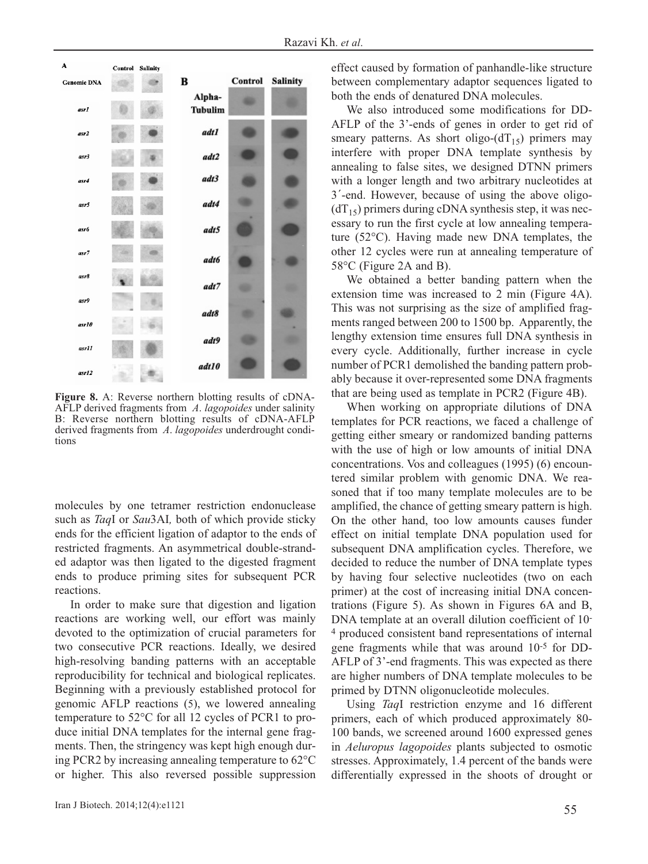

**Figure 8.** A: Reverse northern blotting results of cDNA-AFLP derived fragments from *A*. *lagopoides* under salinity B: Reverse northern blotting results of cDNA-AFLP derived fragments from *A*. *lagopoides* underdrought conditions

molecules by one tetramer restriction endonuclease such as *Taq*I or *Sau*3AI*,* both of which provide sticky ends for the efficient ligation of adaptor to the ends of restricted fragments. An asymmetrical double-stranded adaptor was then ligated to the digested fragment ends to produce priming sites for subsequent PCR reactions.

In order to make sure that digestion and ligation reactions are working well, our effort was mainly devoted to the optimization of crucial parameters for two consecutive PCR reactions. Ideally, we desired high-resolving banding patterns with an acceptable reproducibility for technical and biological replicates. Beginning with a previously established protocol for genomic AFLP reactions (5), we lowered annealing temperature to 52°C for all 12 cycles of PCR1 to produce initial DNA templates for the internal gene fragments. Then, the stringency was kept high enough during PCR2 by increasing annealing temperature to 62°C or higher. This also reversed possible suppression effect caused by formation of panhandle-like structure between complementary adaptor sequences ligated to both the ends of denatured DNA molecules.

We also introduced some modifications for DD-AFLP of the 3'-ends of genes in order to get rid of smeary patterns. As short oligo- $dT_{15}$ ) primers may interfere with proper DNA template synthesis by annealing to false sites, we designed DTNN primers with a longer length and two arbitrary nucleotides at 3´-end. However, because of using the above oligo-  $(dT_{15})$  primers during cDNA synthesis step, it was necessary to run the first cycle at low annealing temperature (52°C). Having made new DNA templates, the other 12 cycles were run at annealing temperature of 58°C (Figure 2A and B).

We obtained a better banding pattern when the extension time was increased to 2 min (Figure 4A). This was not surprising as the size of amplified fragments ranged between 200 to 1500 bp. Apparently, the lengthy extension time ensures full DNA synthesis in every cycle. Additionally, further increase in cycle number of PCR1 demolished the banding pattern probably because it over-represented some DNA fragments that are being used as template in PCR2 (Figure 4B).

When working on appropriate dilutions of DNA templates for PCR reactions, we faced a challenge of getting either smeary or randomized banding patterns with the use of high or low amounts of initial DNA concentrations. Vos and colleagues (1995) (6) encountered similar problem with genomic DNA. We reasoned that if too many template molecules are to be amplified, the chance of getting smeary pattern is high. On the other hand, too low amounts causes funder effect on initial template DNA population used for subsequent DNA amplification cycles. Therefore, we decided to reduce the number of DNA template types by having four selective nucleotides (two on each primer) at the cost of increasing initial DNA concentrations (Figure 5). As shown in Figures 6A and B, DNA template at an overall dilution coefficient of 10- 4 produced consistent band representations of internal gene fragments while that was around 10-5 for DD-AFLP of 3'-end fragments. This was expected as there are higher numbers of DNA template molecules to be primed by DTNN oligonucleotide molecules.

Using *Taq*I restriction enzyme and 16 different primers, each of which produced approximately 80- 100 bands, we screened around 1600 expressed genes in *Aeluropus lagopoides* plants subjected to osmotic stresses. Approximately, 1.4 percent of the bands were differentially expressed in the shoots of drought or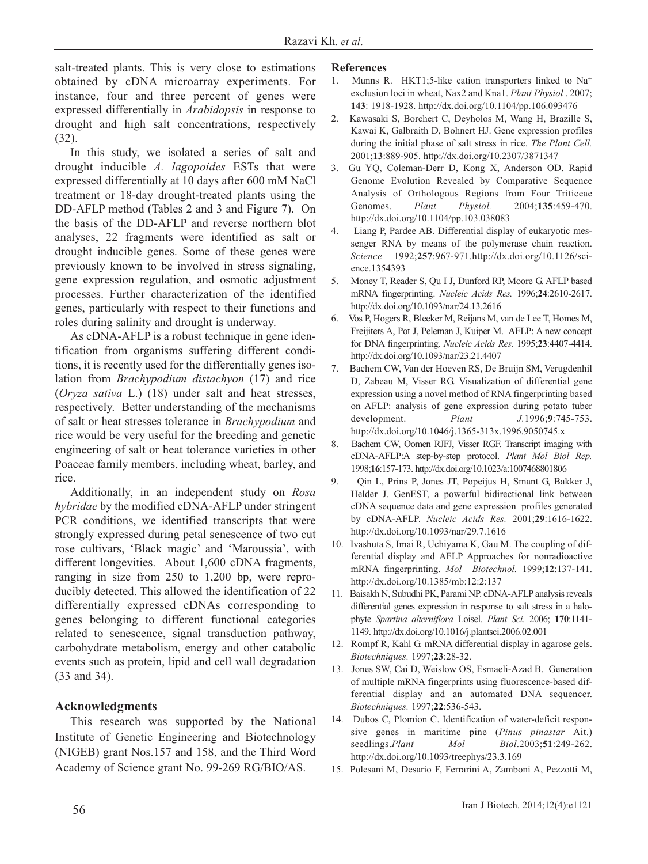salt-treated plants. This is very close to estimations obtained by cDNA microarray experiments. For instance, four and three percent of genes were expressed differentially in *Arabidopsis* in response to drought and high salt concentrations, respectively (32).

In this study, we isolated a series of salt and drought inducible *A. lagopoides* ESTs that were expressed differentially at 10 days after 600 mM NaCl treatment or 18-day drought-treated plants using the DD-AFLP method (Tables 2 and 3 and Figure 7). On the basis of the DD-AFLP and reverse northern blot analyses, 22 fragments were identified as salt or drought inducible genes. Some of these genes were previously known to be involved in stress signaling, gene expression regulation, and osmotic adjustment processes. Further characterization of the identified genes, particularly with respect to their functions and roles during salinity and drought is underway.

As cDNA-AFLP is a robust technique in gene identification from organisms suffering different conditions, it is recently used for the differentially genes isolation from *Brachypodium distachyon* (17) and rice (*Oryza sativa* L.) (18) under salt and heat stresses, respectively. Better understanding of the mechanisms of salt or heat stresses tolerance in *Brachypodium* and rice would be very useful for the breeding and genetic engineering of salt or heat tolerance varieties in other Poaceae family members, including wheat, barley, and rice.

Additionally, in an independent study on *Rosa hybridae* by the modified cDNA-AFLP under stringent PCR conditions, we identified transcripts that were strongly expressed during petal senescence of two cut rose cultivars, 'Black magic' and 'Maroussia', with different longevities. About 1,600 cDNA fragments, ranging in size from 250 to 1,200 bp, were reproducibly detected. This allowed the identification of 22 differentially expressed cDNAs corresponding to genes belonging to different functional categories related to senescence, signal transduction pathway, carbohydrate metabolism, energy and other catabolic events such as protein, lipid and cell wall degradation (33 and 34).

# **Acknowledgments**

This research was supported by the National Institute of Genetic Engineering and Biotechnology (NIGEB) grant Nos.157 and 158, and the Third Word Academy of Science grant No. 99-269 RG/BIO/AS.

## **References**

- 1. Munns R. HKT1;5-like cation transporters linked to Na+ exclusion loci in wheat, Nax2 and Kna1. *Plant Physiol* . 2007; **143**: 1918-1928. http://dx.doi.org/10.1104/pp.106.093476
- 2. Kawasaki S, Borchert C, Deyholos M, Wang H, Brazille S, Kawai K, Galbraith D, Bohnert HJ. Gene expression profiles during the initial phase of salt stress in rice. *The Plant Cell.* 2001;**13**:889-905. http://dx.doi.org/10.2307/3871347
- 3. Gu YQ, Coleman-Derr D, Kong X, Anderson OD. Rapid Genome Evolution Revealed by Comparative Sequence Analysis of Orthologous Regions from Four Triticeae Genomes. *Plant Physiol.* 2004;**135**:459-470. http://dx.doi.org/10.1104/pp.103.038083
- 4. Liang P, Pardee AB. Differential display of eukaryotic messenger RNA by means of the polymerase chain reaction. *Science* 1992;**257**:967-971.http://dx.doi.org/10.1126/science.1354393
- 5. Money T, Reader S, Qu I J, Dunford RP, Moore G. AFLP based mRNA fingerprinting. *Nucleic Acids Res.* 1996;**24**:2610-2617. http://dx.doi.org/10.1093/nar/24.13.2616
- 6. Vos P, Hogers R, Bleeker M, Reijans M, van de Lee T, Homes M, Freijiters A, Pot J, Peleman J, Kuiper M. AFLP: A new concept for DNA fingerprinting. *Nucleic Acids Res.* 1995;**23**:4407-4414. http://dx.doi.org/10.1093/nar/23.21.4407
- 7. Bachem CW, Van der Hoeven RS, De Bruijn SM, Verugdenhil D, Zabeau M, Visser RG. Visualization of differential gene expression using a novel method of RNA fingerprinting based on AFLP: analysis of gene expression during potato tuber development. *Plant J.*1996;**9**:745-753. http://dx.doi.org/10.1046/j.1365-313x.1996.9050745.x
- 8. Bachem CW, Oomen RJFJ, Visser RGF. Transcript imaging with cDNA-AFLP:A step-by-step protocol. *Plant Mol Biol Rep.* 1998;**16**:157-173. http://dx.doi.org/10.1023/a:1007468801806
- 9. Qin L, Prins P, Jones JT, Popeijus H, Smant G, Bakker J, Helder J. GenEST, a powerful bidirectional link between cDNA sequence data and gene expression profiles generated by cDNA-AFLP. *Nucleic Acids Res.* 2001;**29**:1616-1622. http://dx.doi.org/10.1093/nar/29.7.1616
- 10. Ivashuta S, Imai R, Uchiyama K, Gau M. The coupling of differential display and AFLP Approaches for nonradioactive mRNA fingerprinting. *Mol Biotechnol.* 1999;**12**:137-141. http://dx.doi.org/10.1385/mb:12:2:137
- 11. Baisakh N, Subudhi PK, Parami NP. cDNA-AFLP analysis reveals differential genes expression in response to salt stress in a halophyte *Spartina alterniflora* Loisel. *Plant Sci*. 2006; **170**:1141- 1149. http://dx.doi.org/10.1016/j.plantsci.2006.02.001
- 12. Rompf R, Kahl G. mRNA differential display in agarose gels. *Biotechniques.* 1997;**23**:28-32.
- 13. Jones SW, Cai D, Weislow OS, Esmaeli-Azad B. Generation of multiple mRNA fingerprints using fluorescence-based differential display and an automated DNA sequencer. *Biotechniques.* 1997;**22**:536-543.
- 14. Dubos C, Plomion C. Identification of water-deficit responsive genes in maritime pine (*Pinus pinastar* Ait.) seedlings.*Plant Mol Biol*.2003;**51**:249-262. http://dx.doi.org/10.1093/treephys/23.3.169
- 15. Polesani M, Desario F, Ferrarini A, Zamboni A, Pezzotti M,